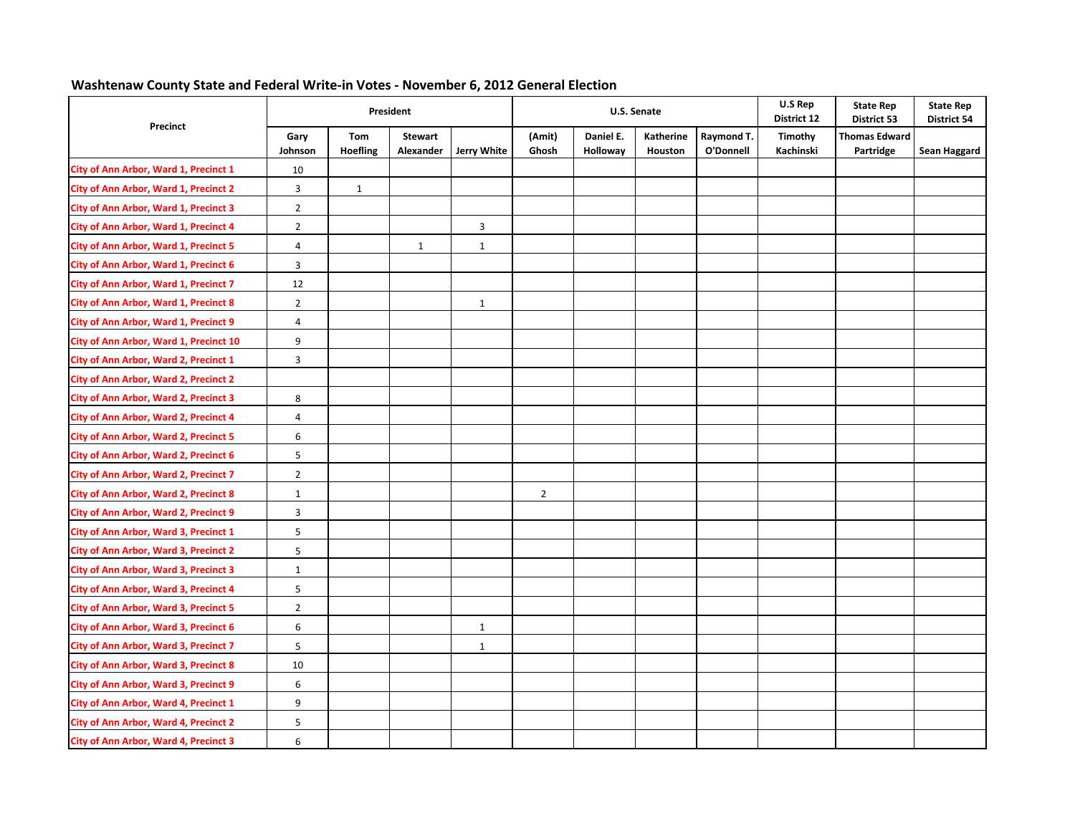## **Washtenaw County State and Federal Write‐in Votes ‐ November 6, 2012 General Election**

|                                              |                         |                        | President                   |                |                 |                       | U.S. Senate          |                         | U.S Rep<br>District 12 | <b>State Rep</b><br>District 53   | <b>State Rep</b><br>District 54 |
|----------------------------------------------|-------------------------|------------------------|-----------------------------|----------------|-----------------|-----------------------|----------------------|-------------------------|------------------------|-----------------------------------|---------------------------------|
| Precinct                                     | Gary<br>Johnson         | Tom<br><b>Hoefling</b> | <b>Stewart</b><br>Alexander | Jerry White    | (Amit)<br>Ghosh | Daniel E.<br>Holloway | Katherine<br>Houston | Raymond T.<br>O'Donnell | Timothy<br>Kachinski   | <b>Thomas Edward</b><br>Partridge | Sean Haggard                    |
| City of Ann Arbor, Ward 1, Precinct 1        | 10                      |                        |                             |                |                 |                       |                      |                         |                        |                                   |                                 |
| City of Ann Arbor, Ward 1, Precinct 2        | $\mathbf{3}$            | $\mathbf{1}$           |                             |                |                 |                       |                      |                         |                        |                                   |                                 |
| City of Ann Arbor, Ward 1, Precinct 3        | $\overline{2}$          |                        |                             |                |                 |                       |                      |                         |                        |                                   |                                 |
| <b>City of Ann Arbor, Ward 1, Precinct 4</b> | $\overline{2}$          |                        |                             | $\overline{3}$ |                 |                       |                      |                         |                        |                                   |                                 |
| City of Ann Arbor, Ward 1, Precinct 5        | 4                       |                        | $\mathbf{1}$                | $\mathbf{1}$   |                 |                       |                      |                         |                        |                                   |                                 |
| City of Ann Arbor, Ward 1, Precinct 6        | 3                       |                        |                             |                |                 |                       |                      |                         |                        |                                   |                                 |
| City of Ann Arbor, Ward 1, Precinct 7        | $12\,$                  |                        |                             |                |                 |                       |                      |                         |                        |                                   |                                 |
| City of Ann Arbor, Ward 1, Precinct 8        | $\overline{2}$          |                        |                             | $\mathbf{1}$   |                 |                       |                      |                         |                        |                                   |                                 |
| City of Ann Arbor, Ward 1, Precinct 9        | 4                       |                        |                             |                |                 |                       |                      |                         |                        |                                   |                                 |
| City of Ann Arbor, Ward 1, Precinct 10       | 9                       |                        |                             |                |                 |                       |                      |                         |                        |                                   |                                 |
| City of Ann Arbor, Ward 2, Precinct 1        | $\mathbf{3}$            |                        |                             |                |                 |                       |                      |                         |                        |                                   |                                 |
| <b>City of Ann Arbor, Ward 2, Precinct 2</b> |                         |                        |                             |                |                 |                       |                      |                         |                        |                                   |                                 |
| City of Ann Arbor, Ward 2, Precinct 3        | 8                       |                        |                             |                |                 |                       |                      |                         |                        |                                   |                                 |
| City of Ann Arbor, Ward 2, Precinct 4        | 4                       |                        |                             |                |                 |                       |                      |                         |                        |                                   |                                 |
| City of Ann Arbor, Ward 2, Precinct 5        | 6                       |                        |                             |                |                 |                       |                      |                         |                        |                                   |                                 |
| City of Ann Arbor, Ward 2, Precinct 6        | 5                       |                        |                             |                |                 |                       |                      |                         |                        |                                   |                                 |
| City of Ann Arbor, Ward 2, Precinct 7        | $\overline{2}$          |                        |                             |                |                 |                       |                      |                         |                        |                                   |                                 |
| <b>City of Ann Arbor, Ward 2, Precinct 8</b> | $\mathbf{1}$            |                        |                             |                | $\overline{2}$  |                       |                      |                         |                        |                                   |                                 |
| City of Ann Arbor, Ward 2, Precinct 9        | $\overline{\mathbf{3}}$ |                        |                             |                |                 |                       |                      |                         |                        |                                   |                                 |
| City of Ann Arbor, Ward 3, Precinct 1        | 5                       |                        |                             |                |                 |                       |                      |                         |                        |                                   |                                 |
| City of Ann Arbor, Ward 3, Precinct 2        | $\overline{5}$          |                        |                             |                |                 |                       |                      |                         |                        |                                   |                                 |
| <b>City of Ann Arbor, Ward 3, Precinct 3</b> | $\mathbf{1}$            |                        |                             |                |                 |                       |                      |                         |                        |                                   |                                 |
| City of Ann Arbor, Ward 3, Precinct 4        | 5                       |                        |                             |                |                 |                       |                      |                         |                        |                                   |                                 |
| City of Ann Arbor, Ward 3, Precinct 5        | $\overline{2}$          |                        |                             |                |                 |                       |                      |                         |                        |                                   |                                 |
| <b>City of Ann Arbor, Ward 3, Precinct 6</b> | 6                       |                        |                             | $\mathbf{1}$   |                 |                       |                      |                         |                        |                                   |                                 |
| City of Ann Arbor, Ward 3, Precinct 7        | 5                       |                        |                             | $\mathbf{1}$   |                 |                       |                      |                         |                        |                                   |                                 |
| City of Ann Arbor, Ward 3, Precinct 8        | 10                      |                        |                             |                |                 |                       |                      |                         |                        |                                   |                                 |
| City of Ann Arbor, Ward 3, Precinct 9        | 6                       |                        |                             |                |                 |                       |                      |                         |                        |                                   |                                 |
| City of Ann Arbor, Ward 4, Precinct 1        | 9                       |                        |                             |                |                 |                       |                      |                         |                        |                                   |                                 |
| City of Ann Arbor, Ward 4, Precinct 2        | 5                       |                        |                             |                |                 |                       |                      |                         |                        |                                   |                                 |
| <b>City of Ann Arbor, Ward 4, Precinct 3</b> | 6                       |                        |                             |                |                 |                       |                      |                         |                        |                                   |                                 |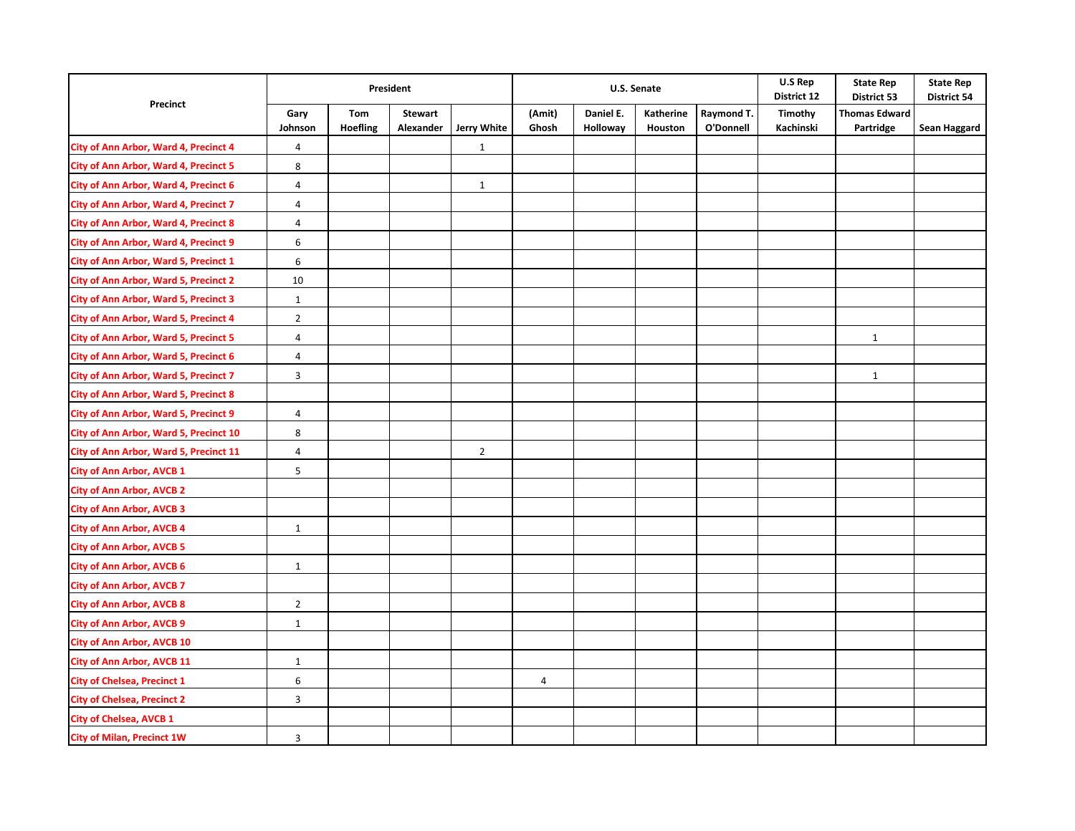|                                              | President       |                        |                             |                |                 |                       | U.S. Senate          |                         | U.S Rep<br>District 12 | <b>State Rep</b><br>District 53   | <b>State Rep</b><br><b>District 54</b> |
|----------------------------------------------|-----------------|------------------------|-----------------------------|----------------|-----------------|-----------------------|----------------------|-------------------------|------------------------|-----------------------------------|----------------------------------------|
| Precinct                                     | Gary<br>Johnson | Tom<br><b>Hoefling</b> | <b>Stewart</b><br>Alexander | Jerry White    | (Amit)<br>Ghosh | Daniel E.<br>Holloway | Katherine<br>Houston | Raymond T.<br>O'Donnell | Timothy<br>Kachinski   | <b>Thomas Edward</b><br>Partridge | Sean Haggard                           |
| City of Ann Arbor, Ward 4, Precinct 4        | $\sqrt{4}$      |                        |                             | $\mathbf 1$    |                 |                       |                      |                         |                        |                                   |                                        |
| City of Ann Arbor, Ward 4, Precinct 5        | 8               |                        |                             |                |                 |                       |                      |                         |                        |                                   |                                        |
| City of Ann Arbor, Ward 4, Precinct 6        | $\overline{4}$  |                        |                             | $\mathbf{1}$   |                 |                       |                      |                         |                        |                                   |                                        |
| City of Ann Arbor, Ward 4, Precinct 7        | 4               |                        |                             |                |                 |                       |                      |                         |                        |                                   |                                        |
| City of Ann Arbor, Ward 4, Precinct 8        | 4               |                        |                             |                |                 |                       |                      |                         |                        |                                   |                                        |
| City of Ann Arbor, Ward 4, Precinct 9        | 6               |                        |                             |                |                 |                       |                      |                         |                        |                                   |                                        |
| City of Ann Arbor, Ward 5, Precinct 1        | 6               |                        |                             |                |                 |                       |                      |                         |                        |                                   |                                        |
| <b>City of Ann Arbor, Ward 5, Precinct 2</b> | 10              |                        |                             |                |                 |                       |                      |                         |                        |                                   |                                        |
| City of Ann Arbor, Ward 5, Precinct 3        | $\mathbf{1}$    |                        |                             |                |                 |                       |                      |                         |                        |                                   |                                        |
| City of Ann Arbor, Ward 5, Precinct 4        | $\overline{2}$  |                        |                             |                |                 |                       |                      |                         |                        |                                   |                                        |
| City of Ann Arbor, Ward 5, Precinct 5        | 4               |                        |                             |                |                 |                       |                      |                         |                        | $\mathbf{1}$                      |                                        |
| City of Ann Arbor, Ward 5, Precinct 6        | 4               |                        |                             |                |                 |                       |                      |                         |                        |                                   |                                        |
| City of Ann Arbor, Ward 5, Precinct 7        | 3               |                        |                             |                |                 |                       |                      |                         |                        | $\mathbf{1}$                      |                                        |
| City of Ann Arbor, Ward 5, Precinct 8        |                 |                        |                             |                |                 |                       |                      |                         |                        |                                   |                                        |
| City of Ann Arbor, Ward 5, Precinct 9        | $\overline{4}$  |                        |                             |                |                 |                       |                      |                         |                        |                                   |                                        |
| City of Ann Arbor, Ward 5, Precinct 10       | 8               |                        |                             |                |                 |                       |                      |                         |                        |                                   |                                        |
| City of Ann Arbor, Ward 5, Precinct 11       | $\sqrt{4}$      |                        |                             | $\overline{2}$ |                 |                       |                      |                         |                        |                                   |                                        |
| <b>City of Ann Arbor, AVCB 1</b>             | 5               |                        |                             |                |                 |                       |                      |                         |                        |                                   |                                        |
| <b>City of Ann Arbor, AVCB 2</b>             |                 |                        |                             |                |                 |                       |                      |                         |                        |                                   |                                        |
| <b>City of Ann Arbor, AVCB 3</b>             |                 |                        |                             |                |                 |                       |                      |                         |                        |                                   |                                        |
| <b>City of Ann Arbor, AVCB 4</b>             | $\mathbf{1}$    |                        |                             |                |                 |                       |                      |                         |                        |                                   |                                        |
| <b>City of Ann Arbor, AVCB 5</b>             |                 |                        |                             |                |                 |                       |                      |                         |                        |                                   |                                        |
| <b>City of Ann Arbor, AVCB 6</b>             | $\mathbf{1}$    |                        |                             |                |                 |                       |                      |                         |                        |                                   |                                        |
| <b>City of Ann Arbor, AVCB 7</b>             |                 |                        |                             |                |                 |                       |                      |                         |                        |                                   |                                        |
| <b>City of Ann Arbor, AVCB 8</b>             | $\overline{2}$  |                        |                             |                |                 |                       |                      |                         |                        |                                   |                                        |
| <b>City of Ann Arbor, AVCB 9</b>             | $\,1\,$         |                        |                             |                |                 |                       |                      |                         |                        |                                   |                                        |
| <b>City of Ann Arbor, AVCB 10</b>            |                 |                        |                             |                |                 |                       |                      |                         |                        |                                   |                                        |
| <b>City of Ann Arbor, AVCB 11</b>            | $\mathbf{1}$    |                        |                             |                |                 |                       |                      |                         |                        |                                   |                                        |
| <b>City of Chelsea, Precinct 1</b>           | 6               |                        |                             |                | 4               |                       |                      |                         |                        |                                   |                                        |
| <b>City of Chelsea, Precinct 2</b>           | $\mathbf{3}$    |                        |                             |                |                 |                       |                      |                         |                        |                                   |                                        |
| <b>City of Chelsea, AVCB 1</b>               |                 |                        |                             |                |                 |                       |                      |                         |                        |                                   |                                        |
| <b>City of Milan, Precinct 1W</b>            | $\overline{3}$  |                        |                             |                |                 |                       |                      |                         |                        |                                   |                                        |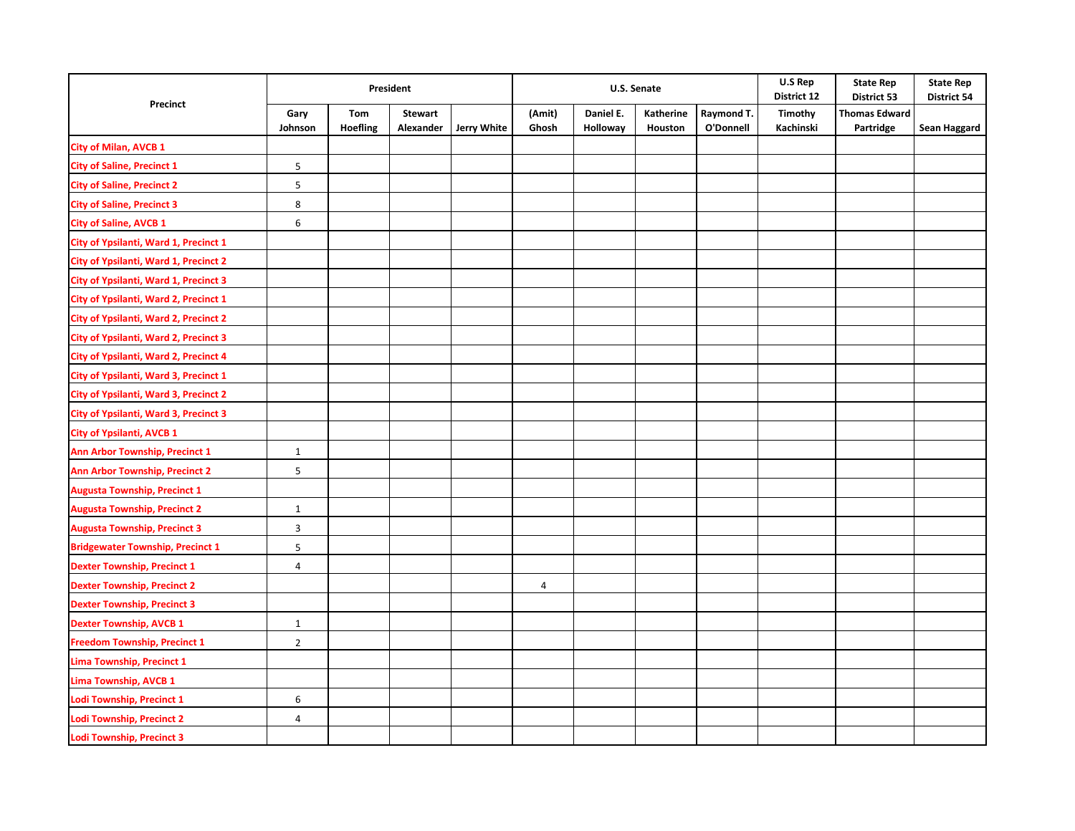|                                         | President       |                        |                             |                    |                 |                       | U.S. Senate          |                         | U.S Rep<br>District 12 | <b>State Rep</b><br>District 53   | <b>State Rep</b><br><b>District 54</b> |
|-----------------------------------------|-----------------|------------------------|-----------------------------|--------------------|-----------------|-----------------------|----------------------|-------------------------|------------------------|-----------------------------------|----------------------------------------|
| Precinct                                | Gary<br>Johnson | Tom<br><b>Hoefling</b> | <b>Stewart</b><br>Alexander | <b>Jerry White</b> | (Amit)<br>Ghosh | Daniel E.<br>Holloway | Katherine<br>Houston | Raymond T.<br>O'Donnell | Timothy<br>Kachinski   | <b>Thomas Edward</b><br>Partridge | Sean Haggard                           |
| <b>City of Milan, AVCB 1</b>            |                 |                        |                             |                    |                 |                       |                      |                         |                        |                                   |                                        |
| <b>City of Saline, Precinct 1</b>       | 5               |                        |                             |                    |                 |                       |                      |                         |                        |                                   |                                        |
| <b>City of Saline, Precinct 2</b>       | 5               |                        |                             |                    |                 |                       |                      |                         |                        |                                   |                                        |
| <b>City of Saline, Precinct 3</b>       | 8               |                        |                             |                    |                 |                       |                      |                         |                        |                                   |                                        |
| <b>City of Saline, AVCB 1</b>           | 6               |                        |                             |                    |                 |                       |                      |                         |                        |                                   |                                        |
| City of Ypsilanti, Ward 1, Precinct 1   |                 |                        |                             |                    |                 |                       |                      |                         |                        |                                   |                                        |
| City of Ypsilanti, Ward 1, Precinct 2   |                 |                        |                             |                    |                 |                       |                      |                         |                        |                                   |                                        |
| City of Ypsilanti, Ward 1, Precinct 3   |                 |                        |                             |                    |                 |                       |                      |                         |                        |                                   |                                        |
| City of Ypsilanti, Ward 2, Precinct 1   |                 |                        |                             |                    |                 |                       |                      |                         |                        |                                   |                                        |
| City of Ypsilanti, Ward 2, Precinct 2   |                 |                        |                             |                    |                 |                       |                      |                         |                        |                                   |                                        |
| City of Ypsilanti, Ward 2, Precinct 3   |                 |                        |                             |                    |                 |                       |                      |                         |                        |                                   |                                        |
| City of Ypsilanti, Ward 2, Precinct 4   |                 |                        |                             |                    |                 |                       |                      |                         |                        |                                   |                                        |
| City of Ypsilanti, Ward 3, Precinct 1   |                 |                        |                             |                    |                 |                       |                      |                         |                        |                                   |                                        |
| City of Ypsilanti, Ward 3, Precinct 2   |                 |                        |                             |                    |                 |                       |                      |                         |                        |                                   |                                        |
| City of Ypsilanti, Ward 3, Precinct 3   |                 |                        |                             |                    |                 |                       |                      |                         |                        |                                   |                                        |
| City of Ypsilanti, AVCB 1               |                 |                        |                             |                    |                 |                       |                      |                         |                        |                                   |                                        |
| Ann Arbor Township, Precinct 1          | $\mathbf{1}$    |                        |                             |                    |                 |                       |                      |                         |                        |                                   |                                        |
| <b>Ann Arbor Township, Precinct 2</b>   | 5               |                        |                             |                    |                 |                       |                      |                         |                        |                                   |                                        |
| <b>Augusta Township, Precinct 1</b>     |                 |                        |                             |                    |                 |                       |                      |                         |                        |                                   |                                        |
| <b>Augusta Township, Precinct 2</b>     | $\mathbf{1}$    |                        |                             |                    |                 |                       |                      |                         |                        |                                   |                                        |
| <b>Augusta Township, Precinct 3</b>     | 3               |                        |                             |                    |                 |                       |                      |                         |                        |                                   |                                        |
| <b>Bridgewater Township, Precinct 1</b> | 5               |                        |                             |                    |                 |                       |                      |                         |                        |                                   |                                        |
| <b>Dexter Township, Precinct 1</b>      | 4               |                        |                             |                    |                 |                       |                      |                         |                        |                                   |                                        |
| <b>Dexter Township, Precinct 2</b>      |                 |                        |                             |                    | $\overline{4}$  |                       |                      |                         |                        |                                   |                                        |
| <b>Dexter Township, Precinct 3</b>      |                 |                        |                             |                    |                 |                       |                      |                         |                        |                                   |                                        |
| <b>Dexter Township, AVCB 1</b>          | $\mathbf{1}$    |                        |                             |                    |                 |                       |                      |                         |                        |                                   |                                        |
| <b>Freedom Township, Precinct 1</b>     | $\overline{2}$  |                        |                             |                    |                 |                       |                      |                         |                        |                                   |                                        |
| Lima Township, Precinct 1               |                 |                        |                             |                    |                 |                       |                      |                         |                        |                                   |                                        |
| Lima Township, AVCB 1                   |                 |                        |                             |                    |                 |                       |                      |                         |                        |                                   |                                        |
| Lodi Township, Precinct 1               | 6               |                        |                             |                    |                 |                       |                      |                         |                        |                                   |                                        |
| <b>Lodi Township, Precinct 2</b>        | 4               |                        |                             |                    |                 |                       |                      |                         |                        |                                   |                                        |
| <b>Lodi Township, Precinct 3</b>        |                 |                        |                             |                    |                 |                       |                      |                         |                        |                                   |                                        |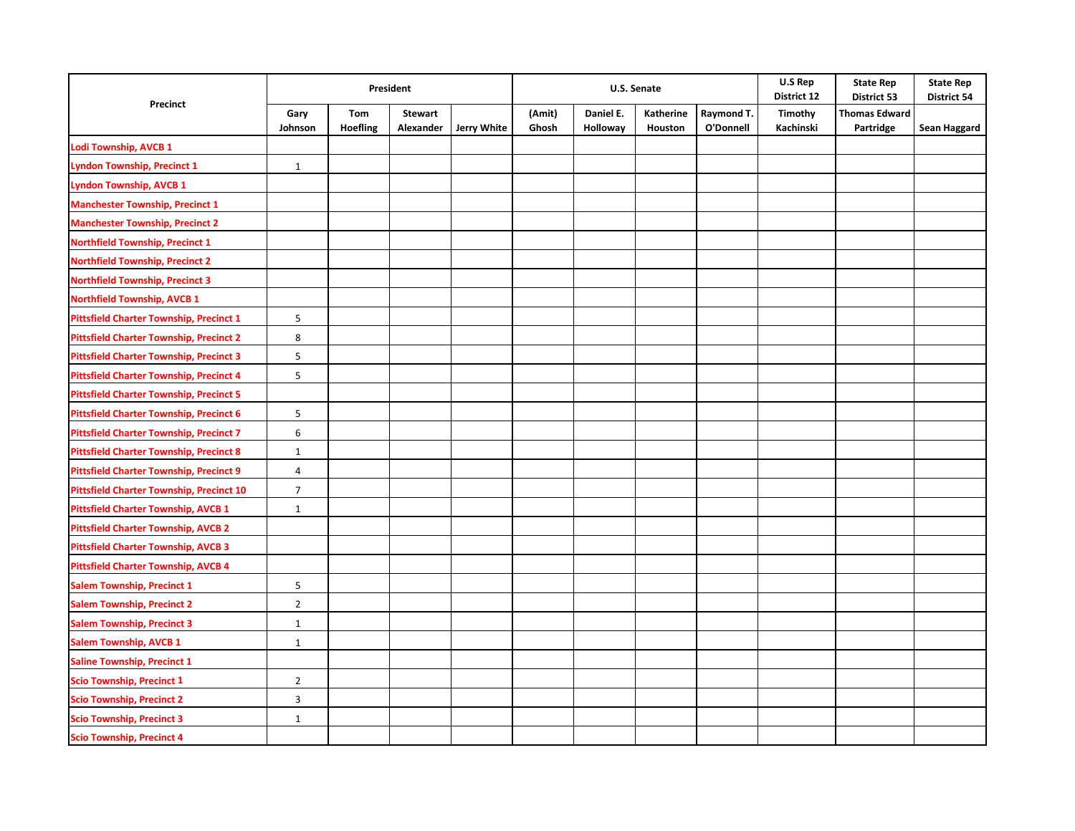| Precinct                                        | President       |                        |                             |             |                 |                       | U.S. Senate          |                         | U.S Rep<br>District 12 | <b>State Rep</b><br>District 53   | <b>State Rep</b><br><b>District 54</b> |
|-------------------------------------------------|-----------------|------------------------|-----------------------------|-------------|-----------------|-----------------------|----------------------|-------------------------|------------------------|-----------------------------------|----------------------------------------|
|                                                 | Gary<br>Johnson | Tom<br><b>Hoefling</b> | <b>Stewart</b><br>Alexander | Jerry White | (Amit)<br>Ghosh | Daniel E.<br>Holloway | Katherine<br>Houston | Raymond T.<br>O'Donnell | Timothy<br>Kachinski   | <b>Thomas Edward</b><br>Partridge | Sean Haggard                           |
| Lodi Township, AVCB 1                           |                 |                        |                             |             |                 |                       |                      |                         |                        |                                   |                                        |
| Lyndon Township, Precinct 1                     | $\mathbf{1}$    |                        |                             |             |                 |                       |                      |                         |                        |                                   |                                        |
| <b>Lyndon Township, AVCB 1</b>                  |                 |                        |                             |             |                 |                       |                      |                         |                        |                                   |                                        |
| <b>Manchester Township, Precinct 1</b>          |                 |                        |                             |             |                 |                       |                      |                         |                        |                                   |                                        |
| <b>Manchester Township, Precinct 2</b>          |                 |                        |                             |             |                 |                       |                      |                         |                        |                                   |                                        |
| <b>Northfield Township, Precinct 1</b>          |                 |                        |                             |             |                 |                       |                      |                         |                        |                                   |                                        |
| <b>Northfield Township, Precinct 2</b>          |                 |                        |                             |             |                 |                       |                      |                         |                        |                                   |                                        |
| <b>Northfield Township, Precinct 3</b>          |                 |                        |                             |             |                 |                       |                      |                         |                        |                                   |                                        |
| <b>Northfield Township, AVCB 1</b>              |                 |                        |                             |             |                 |                       |                      |                         |                        |                                   |                                        |
| <b>Pittsfield Charter Township, Precinct 1</b>  | 5               |                        |                             |             |                 |                       |                      |                         |                        |                                   |                                        |
| <b>Pittsfield Charter Township, Precinct 2</b>  | 8               |                        |                             |             |                 |                       |                      |                         |                        |                                   |                                        |
| <b>Pittsfield Charter Township, Precinct 3</b>  | 5               |                        |                             |             |                 |                       |                      |                         |                        |                                   |                                        |
| <b>Pittsfield Charter Township, Precinct 4</b>  | 5               |                        |                             |             |                 |                       |                      |                         |                        |                                   |                                        |
| <b>Pittsfield Charter Township, Precinct 5</b>  |                 |                        |                             |             |                 |                       |                      |                         |                        |                                   |                                        |
| <b>Pittsfield Charter Township, Precinct 6</b>  | 5               |                        |                             |             |                 |                       |                      |                         |                        |                                   |                                        |
| <b>Pittsfield Charter Township, Precinct 7</b>  | 6               |                        |                             |             |                 |                       |                      |                         |                        |                                   |                                        |
| <b>Pittsfield Charter Township, Precinct 8</b>  | $\mathbf{1}$    |                        |                             |             |                 |                       |                      |                         |                        |                                   |                                        |
| <b>Pittsfield Charter Township, Precinct 9</b>  | 4               |                        |                             |             |                 |                       |                      |                         |                        |                                   |                                        |
| <b>Pittsfield Charter Township, Precinct 10</b> | $\overline{7}$  |                        |                             |             |                 |                       |                      |                         |                        |                                   |                                        |
| <b>Pittsfield Charter Township, AVCB 1</b>      | $\mathbf{1}$    |                        |                             |             |                 |                       |                      |                         |                        |                                   |                                        |
| <b>Pittsfield Charter Township, AVCB 2</b>      |                 |                        |                             |             |                 |                       |                      |                         |                        |                                   |                                        |
| <b>Pittsfield Charter Township, AVCB 3</b>      |                 |                        |                             |             |                 |                       |                      |                         |                        |                                   |                                        |
| <b>Pittsfield Charter Township, AVCB 4</b>      |                 |                        |                             |             |                 |                       |                      |                         |                        |                                   |                                        |
| <b>Salem Township, Precinct 1</b>               | 5               |                        |                             |             |                 |                       |                      |                         |                        |                                   |                                        |
| <b>Salem Township, Precinct 2</b>               | $\overline{2}$  |                        |                             |             |                 |                       |                      |                         |                        |                                   |                                        |
| Salem Township, Precinct 3                      | $\mathbf{1}$    |                        |                             |             |                 |                       |                      |                         |                        |                                   |                                        |
| <b>Salem Township, AVCB 1</b>                   | $\mathbf{1}$    |                        |                             |             |                 |                       |                      |                         |                        |                                   |                                        |
| <b>Saline Township, Precinct 1</b>              |                 |                        |                             |             |                 |                       |                      |                         |                        |                                   |                                        |
| <b>Scio Township, Precinct 1</b>                | $\overline{2}$  |                        |                             |             |                 |                       |                      |                         |                        |                                   |                                        |
| <b>Scio Township, Precinct 2</b>                | 3               |                        |                             |             |                 |                       |                      |                         |                        |                                   |                                        |
| <b>Scio Township, Precinct 3</b>                | $\mathbf 1$     |                        |                             |             |                 |                       |                      |                         |                        |                                   |                                        |
| <b>Scio Township, Precinct 4</b>                |                 |                        |                             |             |                 |                       |                      |                         |                        |                                   |                                        |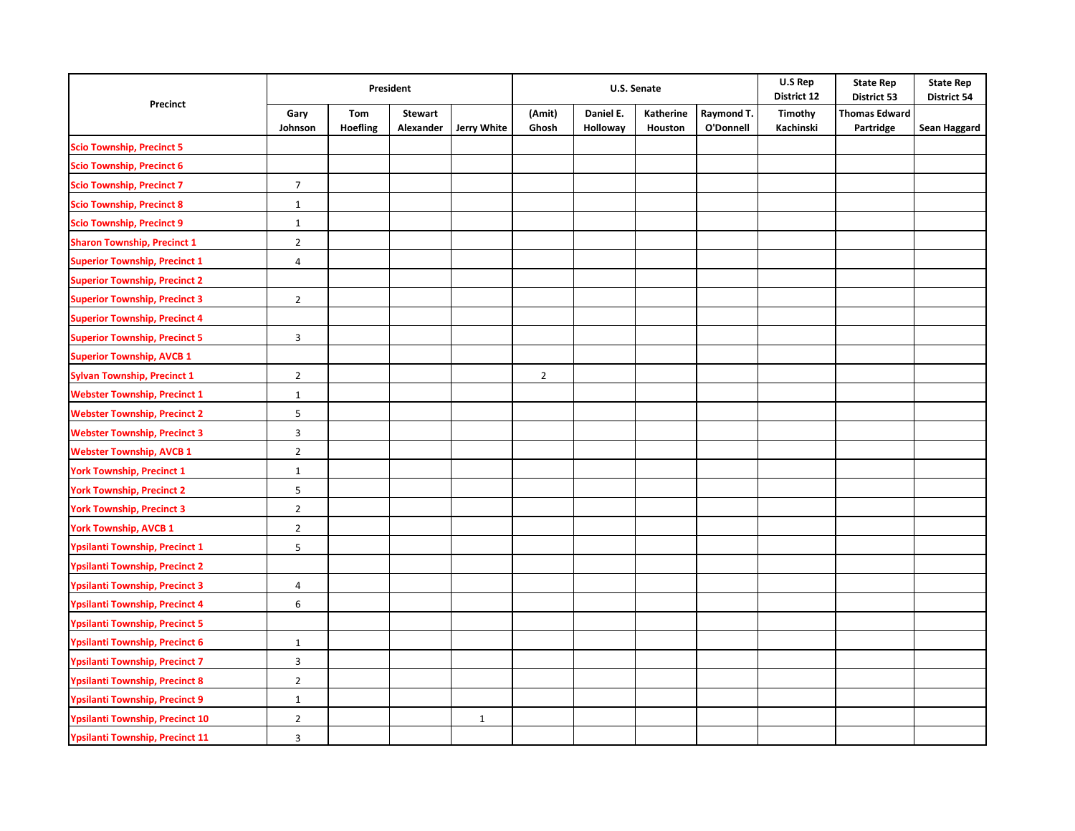|                                        | President       |                        |                             |                    |                 |                       | U.S. Senate          |                         | U.S Rep<br>District 12 | <b>State Rep</b><br>District 53   | <b>State Rep</b><br><b>District 54</b> |
|----------------------------------------|-----------------|------------------------|-----------------------------|--------------------|-----------------|-----------------------|----------------------|-------------------------|------------------------|-----------------------------------|----------------------------------------|
| Precinct                               | Gary<br>Johnson | Tom<br><b>Hoefling</b> | <b>Stewart</b><br>Alexander | <b>Jerry White</b> | (Amit)<br>Ghosh | Daniel E.<br>Holloway | Katherine<br>Houston | Raymond T.<br>O'Donnell | Timothy<br>Kachinski   | <b>Thomas Edward</b><br>Partridge | Sean Haggard                           |
| <b>Scio Township, Precinct 5</b>       |                 |                        |                             |                    |                 |                       |                      |                         |                        |                                   |                                        |
| <b>Scio Township, Precinct 6</b>       |                 |                        |                             |                    |                 |                       |                      |                         |                        |                                   |                                        |
| <b>Scio Township, Precinct 7</b>       | $\overline{7}$  |                        |                             |                    |                 |                       |                      |                         |                        |                                   |                                        |
| <b>Scio Township, Precinct 8</b>       | $\mathbf{1}$    |                        |                             |                    |                 |                       |                      |                         |                        |                                   |                                        |
| <b>Scio Township, Precinct 9</b>       | $\mathbf{1}$    |                        |                             |                    |                 |                       |                      |                         |                        |                                   |                                        |
| <b>Sharon Township, Precinct 1</b>     | $\overline{2}$  |                        |                             |                    |                 |                       |                      |                         |                        |                                   |                                        |
| <b>Superior Township, Precinct 1</b>   | $\overline{4}$  |                        |                             |                    |                 |                       |                      |                         |                        |                                   |                                        |
| <b>Superior Township, Precinct 2</b>   |                 |                        |                             |                    |                 |                       |                      |                         |                        |                                   |                                        |
| <b>Superior Township, Precinct 3</b>   | $\overline{2}$  |                        |                             |                    |                 |                       |                      |                         |                        |                                   |                                        |
| <b>Superior Township, Precinct 4</b>   |                 |                        |                             |                    |                 |                       |                      |                         |                        |                                   |                                        |
| <b>Superior Township, Precinct 5</b>   | 3               |                        |                             |                    |                 |                       |                      |                         |                        |                                   |                                        |
| <b>Superior Township, AVCB 1</b>       |                 |                        |                             |                    |                 |                       |                      |                         |                        |                                   |                                        |
| <b>Sylvan Township, Precinct 1</b>     | $\overline{2}$  |                        |                             |                    | $\overline{2}$  |                       |                      |                         |                        |                                   |                                        |
| <b>Webster Township, Precinct 1</b>    | $\mathbf{1}$    |                        |                             |                    |                 |                       |                      |                         |                        |                                   |                                        |
| <b>Webster Township, Precinct 2</b>    | 5               |                        |                             |                    |                 |                       |                      |                         |                        |                                   |                                        |
| <b>Webster Township, Precinct 3</b>    | $\overline{3}$  |                        |                             |                    |                 |                       |                      |                         |                        |                                   |                                        |
| <b>Webster Township, AVCB 1</b>        | $\overline{2}$  |                        |                             |                    |                 |                       |                      |                         |                        |                                   |                                        |
| York Township, Precinct 1              | $\mathbf 1$     |                        |                             |                    |                 |                       |                      |                         |                        |                                   |                                        |
| <b>York Township, Precinct 2</b>       | 5               |                        |                             |                    |                 |                       |                      |                         |                        |                                   |                                        |
| <b>York Township, Precinct 3</b>       | $\overline{2}$  |                        |                             |                    |                 |                       |                      |                         |                        |                                   |                                        |
| <b>York Township, AVCB 1</b>           | $\overline{2}$  |                        |                             |                    |                 |                       |                      |                         |                        |                                   |                                        |
| Ypsilanti Township, Precinct 1         | 5               |                        |                             |                    |                 |                       |                      |                         |                        |                                   |                                        |
| Ypsilanti Township, Precinct 2         |                 |                        |                             |                    |                 |                       |                      |                         |                        |                                   |                                        |
| <b>Ypsilanti Township, Precinct 3</b>  | 4               |                        |                             |                    |                 |                       |                      |                         |                        |                                   |                                        |
| Ypsilanti Township, Precinct 4         | 6               |                        |                             |                    |                 |                       |                      |                         |                        |                                   |                                        |
| <b>Ypsilanti Township, Precinct 5</b>  |                 |                        |                             |                    |                 |                       |                      |                         |                        |                                   |                                        |
| <b>Ypsilanti Township, Precinct 6</b>  | $\mathbf{1}$    |                        |                             |                    |                 |                       |                      |                         |                        |                                   |                                        |
| <b>Ypsilanti Township, Precinct 7</b>  | 3               |                        |                             |                    |                 |                       |                      |                         |                        |                                   |                                        |
| <b>Ypsilanti Township, Precinct 8</b>  | $\overline{2}$  |                        |                             |                    |                 |                       |                      |                         |                        |                                   |                                        |
| <b>Ypsilanti Township, Precinct 9</b>  | $\mathbf{1}$    |                        |                             |                    |                 |                       |                      |                         |                        |                                   |                                        |
| <b>Ypsilanti Township, Precinct 10</b> | $\overline{2}$  |                        |                             | $\mathbf{1}$       |                 |                       |                      |                         |                        |                                   |                                        |
| <b>Ypsilanti Township, Precinct 11</b> | 3               |                        |                             |                    |                 |                       |                      |                         |                        |                                   |                                        |